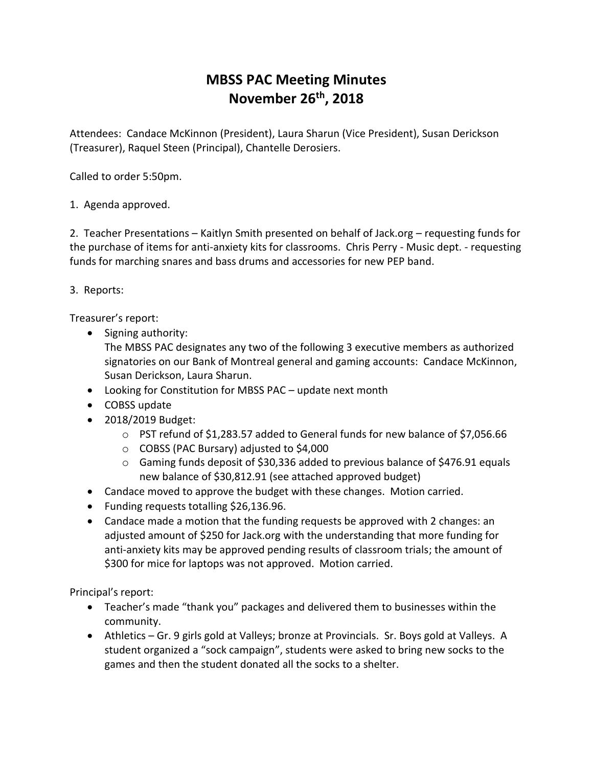## **MBSS PAC Meeting Minutes November 26th, 2018**

Attendees: Candace McKinnon (President), Laura Sharun (Vice President), Susan Derickson (Treasurer), Raquel Steen (Principal), Chantelle Derosiers.

Called to order 5:50pm.

## 1. Agenda approved.

2. Teacher Presentations – Kaitlyn Smith presented on behalf of Jack.org – requesting funds for the purchase of items for anti-anxiety kits for classrooms. Chris Perry - Music dept. - requesting funds for marching snares and bass drums and accessories for new PEP band.

## 3. Reports:

Treasurer's report:

• Signing authority:

The MBSS PAC designates any two of the following 3 executive members as authorized signatories on our Bank of Montreal general and gaming accounts: Candace McKinnon, Susan Derickson, Laura Sharun.

- Looking for Constitution for MBSS PAC update next month
- COBSS update
- 2018/2019 Budget:
	- o PST refund of \$1,283.57 added to General funds for new balance of \$7,056.66
	- o COBSS (PAC Bursary) adjusted to \$4,000
	- o Gaming funds deposit of \$30,336 added to previous balance of \$476.91 equals new balance of \$30,812.91 (see attached approved budget)
- Candace moved to approve the budget with these changes. Motion carried.
- Funding requests totalling \$26,136.96.
- Candace made a motion that the funding requests be approved with 2 changes: an adjusted amount of \$250 for Jack.org with the understanding that more funding for anti-anxiety kits may be approved pending results of classroom trials; the amount of \$300 for mice for laptops was not approved. Motion carried.

Principal's report:

- Teacher's made "thank you" packages and delivered them to businesses within the community.
- Athletics Gr. 9 girls gold at Valleys; bronze at Provincials. Sr. Boys gold at Valleys. A student organized a "sock campaign", students were asked to bring new socks to the games and then the student donated all the socks to a shelter.